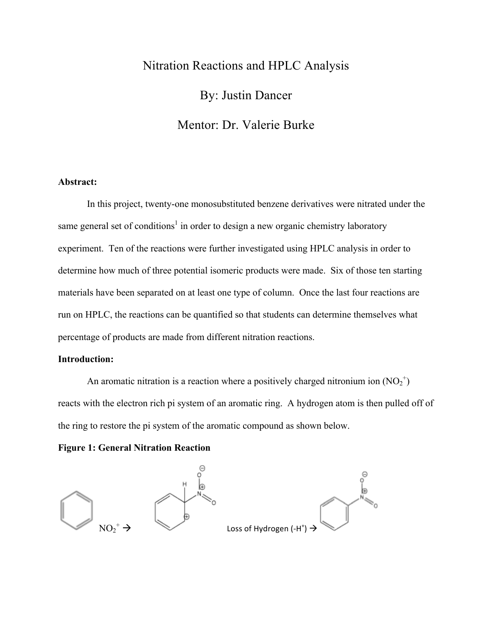# Nitration Reactions and HPLC Analysis By: Justin Dancer Mentor: Dr. Valerie Burke

# **Abstract:**

In this project, twenty-one monosubstituted benzene derivatives were nitrated under the same general set of conditions<sup>1</sup> in order to design a new organic chemistry laboratory experiment. Ten of the reactions were further investigated using HPLC analysis in order to determine how much of three potential isomeric products were made. Six of those ten starting materials have been separated on at least one type of column. Once the last four reactions are run on HPLC, the reactions can be quantified so that students can determine themselves what percentage of products are made from different nitration reactions.

# **Introduction:**

An aromatic nitration is a reaction where a positively charged nitronium ion  $(NO<sub>2</sub><sup>+</sup>)$ reacts with the electron rich pi system of an aromatic ring. A hydrogen atom is then pulled off of the ring to restore the pi system of the aromatic compound as shown below.

# **Figure 1: General Nitration Reaction**



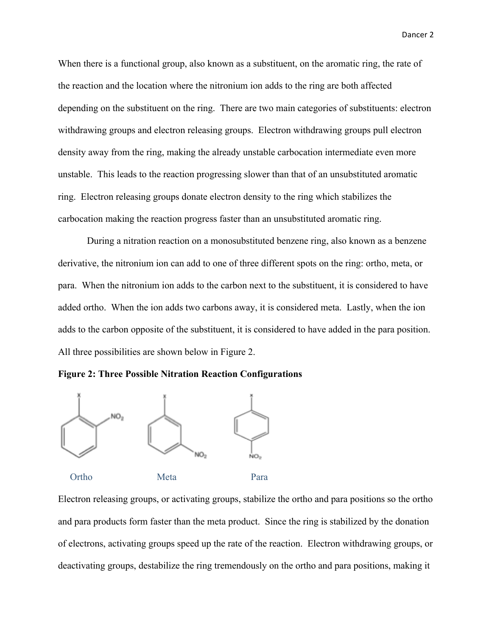Dancer 2

When there is a functional group, also known as a substituent, on the aromatic ring, the rate of the reaction and the location where the nitronium ion adds to the ring are both affected depending on the substituent on the ring. There are two main categories of substituents: electron withdrawing groups and electron releasing groups. Electron withdrawing groups pull electron density away from the ring, making the already unstable carbocation intermediate even more unstable. This leads to the reaction progressing slower than that of an unsubstituted aromatic ring. Electron releasing groups donate electron density to the ring which stabilizes the carbocation making the reaction progress faster than an unsubstituted aromatic ring.

During a nitration reaction on a monosubstituted benzene ring, also known as a benzene derivative, the nitronium ion can add to one of three different spots on the ring: ortho, meta, or para. When the nitronium ion adds to the carbon next to the substituent, it is considered to have added ortho. When the ion adds two carbons away, it is considered meta. Lastly, when the ion adds to the carbon opposite of the substituent, it is considered to have added in the para position. All three possibilities are shown below in Figure 2.





Electron releasing groups, or activating groups, stabilize the ortho and para positions so the ortho and para products form faster than the meta product. Since the ring is stabilized by the donation of electrons, activating groups speed up the rate of the reaction. Electron withdrawing groups, or deactivating groups, destabilize the ring tremendously on the ortho and para positions, making it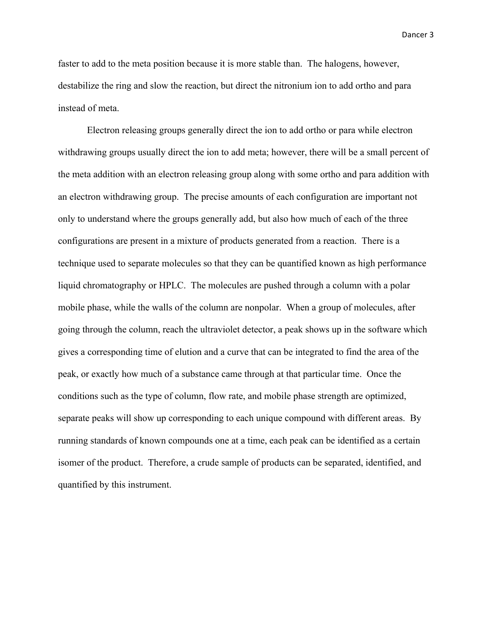Dancer 3

faster to add to the meta position because it is more stable than. The halogens, however, destabilize the ring and slow the reaction, but direct the nitronium ion to add ortho and para instead of meta.

Electron releasing groups generally direct the ion to add ortho or para while electron withdrawing groups usually direct the ion to add meta; however, there will be a small percent of the meta addition with an electron releasing group along with some ortho and para addition with an electron withdrawing group. The precise amounts of each configuration are important not only to understand where the groups generally add, but also how much of each of the three configurations are present in a mixture of products generated from a reaction. There is a technique used to separate molecules so that they can be quantified known as high performance liquid chromatography or HPLC. The molecules are pushed through a column with a polar mobile phase, while the walls of the column are nonpolar. When a group of molecules, after going through the column, reach the ultraviolet detector, a peak shows up in the software which gives a corresponding time of elution and a curve that can be integrated to find the area of the peak, or exactly how much of a substance came through at that particular time. Once the conditions such as the type of column, flow rate, and mobile phase strength are optimized, separate peaks will show up corresponding to each unique compound with different areas. By running standards of known compounds one at a time, each peak can be identified as a certain isomer of the product. Therefore, a crude sample of products can be separated, identified, and quantified by this instrument.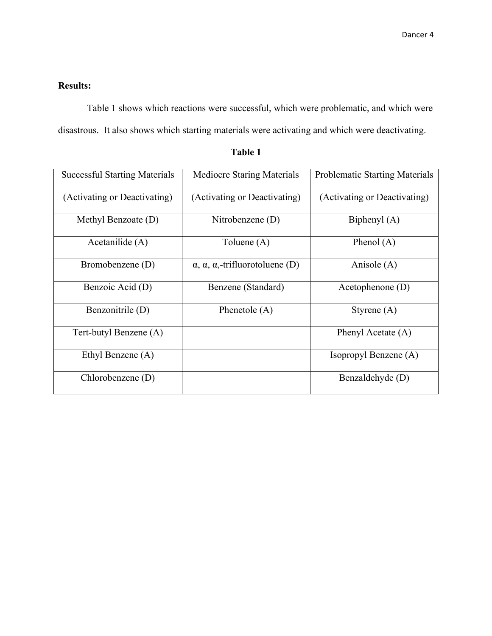# **Results:**

Table 1 shows which reactions were successful, which were problematic, and which were disastrous. It also shows which starting materials were activating and which were deactivating.

| <b>Successful Starting Materials</b> | <b>Mediocre Staring Materials</b>                     | <b>Problematic Starting Materials</b> |  |
|--------------------------------------|-------------------------------------------------------|---------------------------------------|--|
| (Activating or Deactivating)         | (Activating or Deactivating)                          | (Activating or Deactivating)          |  |
| Methyl Benzoate (D)                  | Nitrobenzene $(D)$                                    | Biphenyl (A)                          |  |
| Acetanilide (A)                      | Toluene (A)                                           | Phenol $(A)$                          |  |
| Bromobenzene (D)                     | $\alpha$ , $\alpha$ , $\alpha$ ,-trifluorotoluene (D) | Anisole $(A)$                         |  |
| Benzoic Acid (D)                     | Benzene (Standard)                                    | Acetophenone $(D)$                    |  |
| Benzonitrile (D)                     | Phenetole $(A)$                                       | Styrene $(A)$                         |  |
| Tert-butyl Benzene (A)               |                                                       | Phenyl Acetate (A)                    |  |
| Ethyl Benzene (A)                    |                                                       | Isopropyl Benzene (A)                 |  |
| Chlorobenzene (D)                    |                                                       | Benzaldehyde (D)                      |  |

**Table 1**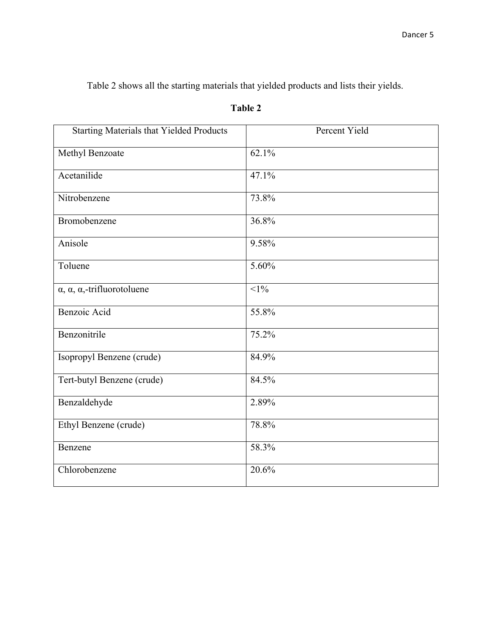Table 2 shows all the starting materials that yielded products and lists their yields.

| <b>Starting Materials that Yielded Products</b>   | Percent Yield |
|---------------------------------------------------|---------------|
| Methyl Benzoate                                   | 62.1%         |
| Acetanilide                                       | 47.1%         |
| Nitrobenzene                                      | 73.8%         |
| Bromobenzene                                      | 36.8%         |
| Anisole                                           | 9.58%         |
| Toluene                                           | 5.60%         |
| $\alpha$ , $\alpha$ , $\alpha$ ,-trifluorotoluene | $<1\%$        |
| Benzoic Acid                                      | 55.8%         |
| Benzonitrile                                      | 75.2%         |
| Isopropyl Benzene (crude)                         | 84.9%         |
| Tert-butyl Benzene (crude)                        | 84.5%         |
| Benzaldehyde                                      | 2.89%         |
| Ethyl Benzene (crude)                             | 78.8%         |
| Benzene                                           | 58.3%         |
| Chlorobenzene                                     | 20.6%         |

# **Table 2**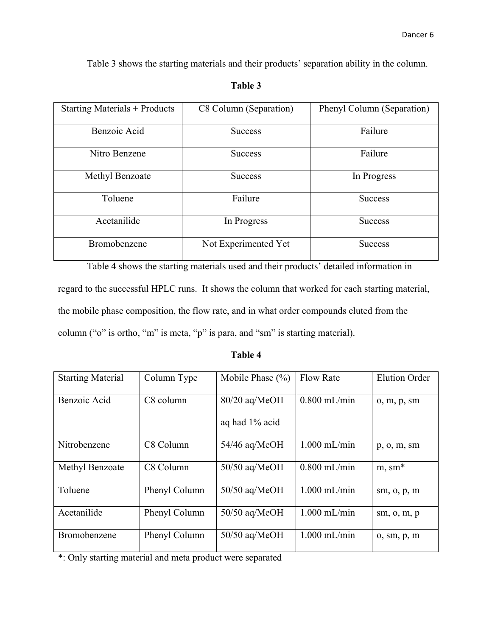Table 3 shows the starting materials and their products' separation ability in the column.

# **Table 3**

| <b>Starting Materials + Products</b> | C8 Column (Separation) | Phenyl Column (Separation) |  |
|--------------------------------------|------------------------|----------------------------|--|
| Benzoic Acid                         | <b>Success</b>         | Failure                    |  |
| Nitro Benzene                        | <b>Success</b>         | Failure                    |  |
| Methyl Benzoate                      | <b>Success</b>         | In Progress                |  |
| Toluene                              | Failure                | <b>Success</b>             |  |
| Acetanilide                          | In Progress            | <b>Success</b>             |  |
| Bromobenzene                         | Not Experimented Yet   | <b>Success</b>             |  |

Table 4 shows the starting materials used and their products' detailed information in regard to the successful HPLC runs. It shows the column that worked for each starting material, the mobile phase composition, the flow rate, and in what order compounds eluted from the column ("o" is ortho, "m" is meta, "p" is para, and "sm" is starting material).

# **Table 4**

| <b>Starting Material</b> | Column Type   | Mobile Phase $(\% )$ | <b>Flow Rate</b> | <b>Elution Order</b> |
|--------------------------|---------------|----------------------|------------------|----------------------|
| Benzoic Acid             | C8 column     | 80/20 aq/MeOH        | $0.800$ mL/min   | o, m, p, sm          |
|                          |               | aq had 1% acid       |                  |                      |
| Nitrobenzene             | C8 Column     | $54/46$ aq/MeOH      | $1.000$ mL/min   | p, o, m, sm          |
| Methyl Benzoate          | C8 Column     | $50/50$ aq/MeOH      | $0.800$ mL/min   | $m, sm*$             |
| Toluene                  | Phenyl Column | $50/50$ aq/MeOH      | $1.000$ mL/min   | sm, o, p, m          |
| Acetanilide              | Phenyl Column | $50/50$ aq/MeOH      | $1.000$ mL/min   | sm, o, m, p          |
| Bromobenzene             | Phenyl Column | $50/50$ aq/MeOH      | $1.000$ mL/min   | o, sm, p, m          |

\*: Only starting material and meta product were separated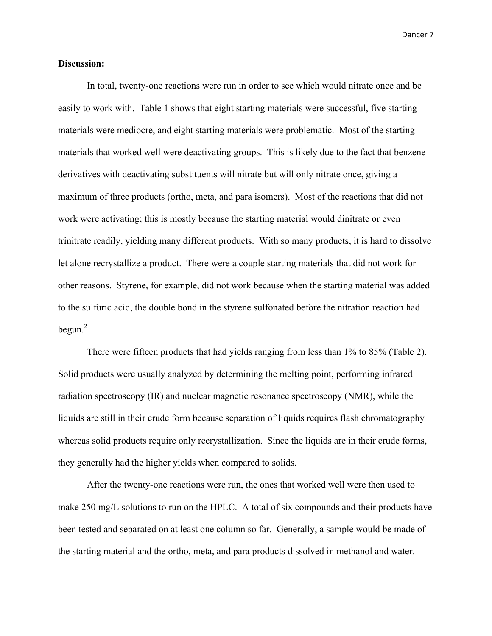Dancer 7

#### **Discussion:**

In total, twenty-one reactions were run in order to see which would nitrate once and be easily to work with. Table 1 shows that eight starting materials were successful, five starting materials were mediocre, and eight starting materials were problematic. Most of the starting materials that worked well were deactivating groups. This is likely due to the fact that benzene derivatives with deactivating substituents will nitrate but will only nitrate once, giving a maximum of three products (ortho, meta, and para isomers). Most of the reactions that did not work were activating; this is mostly because the starting material would dinitrate or even trinitrate readily, yielding many different products. With so many products, it is hard to dissolve let alone recrystallize a product. There were a couple starting materials that did not work for other reasons. Styrene, for example, did not work because when the starting material was added to the sulfuric acid, the double bond in the styrene sulfonated before the nitration reaction had begun. 2

There were fifteen products that had yields ranging from less than 1% to 85% (Table 2). Solid products were usually analyzed by determining the melting point, performing infrared radiation spectroscopy (IR) and nuclear magnetic resonance spectroscopy (NMR), while the liquids are still in their crude form because separation of liquids requires flash chromatography whereas solid products require only recrystallization. Since the liquids are in their crude forms, they generally had the higher yields when compared to solids.

After the twenty-one reactions were run, the ones that worked well were then used to make 250 mg/L solutions to run on the HPLC. A total of six compounds and their products have been tested and separated on at least one column so far. Generally, a sample would be made of the starting material and the ortho, meta, and para products dissolved in methanol and water.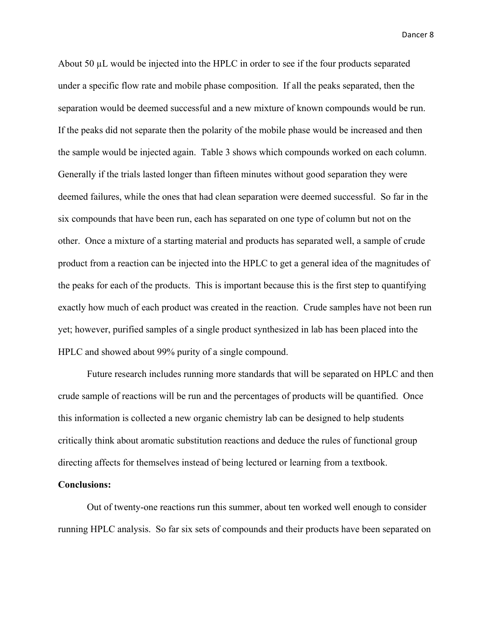Dancer 8

About 50 µL would be injected into the HPLC in order to see if the four products separated under a specific flow rate and mobile phase composition. If all the peaks separated, then the separation would be deemed successful and a new mixture of known compounds would be run. If the peaks did not separate then the polarity of the mobile phase would be increased and then the sample would be injected again. Table 3 shows which compounds worked on each column. Generally if the trials lasted longer than fifteen minutes without good separation they were deemed failures, while the ones that had clean separation were deemed successful. So far in the six compounds that have been run, each has separated on one type of column but not on the other. Once a mixture of a starting material and products has separated well, a sample of crude product from a reaction can be injected into the HPLC to get a general idea of the magnitudes of the peaks for each of the products. This is important because this is the first step to quantifying exactly how much of each product was created in the reaction. Crude samples have not been run yet; however, purified samples of a single product synthesized in lab has been placed into the HPLC and showed about 99% purity of a single compound.

Future research includes running more standards that will be separated on HPLC and then crude sample of reactions will be run and the percentages of products will be quantified. Once this information is collected a new organic chemistry lab can be designed to help students critically think about aromatic substitution reactions and deduce the rules of functional group directing affects for themselves instead of being lectured or learning from a textbook.

#### **Conclusions:**

Out of twenty-one reactions run this summer, about ten worked well enough to consider running HPLC analysis. So far six sets of compounds and their products have been separated on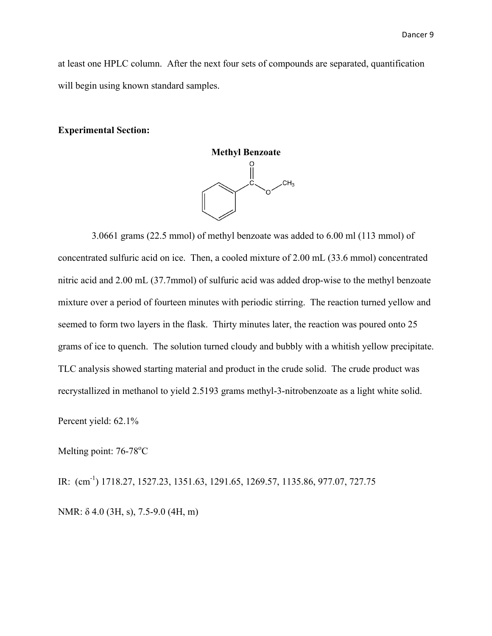at least one HPLC column. After the next four sets of compounds are separated, quantification will begin using known standard samples.

#### **Experimental Section:**



 3.0661 grams (22.5 mmol) of methyl benzoate was added to 6.00 ml (113 mmol) of concentrated sulfuric acid on ice. Then, a cooled mixture of 2.00 mL (33.6 mmol) concentrated nitric acid and 2.00 mL (37.7mmol) of sulfuric acid was added drop-wise to the methyl benzoate mixture over a period of fourteen minutes with periodic stirring. The reaction turned yellow and seemed to form two layers in the flask. Thirty minutes later, the reaction was poured onto 25 grams of ice to quench. The solution turned cloudy and bubbly with a whitish yellow precipitate. TLC analysis showed starting material and product in the crude solid. The crude product was recrystallized in methanol to yield 2.5193 grams methyl-3-nitrobenzoate as a light white solid.

Percent yield: 62.1%

Melting point: 76-78°C

IR: (cm<sup>-1</sup>) 1718.27, 1527.23, 1351.63, 1291.65, 1269.57, 1135.86, 977.07, 727.75 NMR: δ 4.0 (3H, s), 7.5-9.0 (4H, m)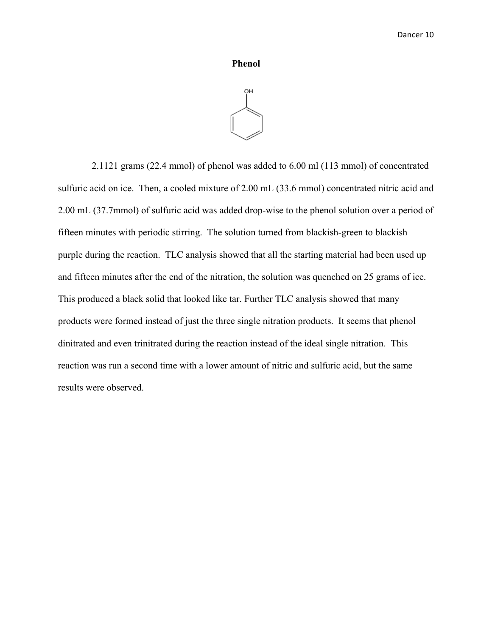#### **Phenol**



 2.1121 grams (22.4 mmol) of phenol was added to 6.00 ml (113 mmol) of concentrated sulfuric acid on ice. Then, a cooled mixture of 2.00 mL (33.6 mmol) concentrated nitric acid and 2.00 mL (37.7mmol) of sulfuric acid was added drop-wise to the phenol solution over a period of fifteen minutes with periodic stirring. The solution turned from blackish-green to blackish purple during the reaction. TLC analysis showed that all the starting material had been used up and fifteen minutes after the end of the nitration, the solution was quenched on 25 grams of ice. This produced a black solid that looked like tar. Further TLC analysis showed that many products were formed instead of just the three single nitration products. It seems that phenol dinitrated and even trinitrated during the reaction instead of the ideal single nitration. This reaction was run a second time with a lower amount of nitric and sulfuric acid, but the same results were observed.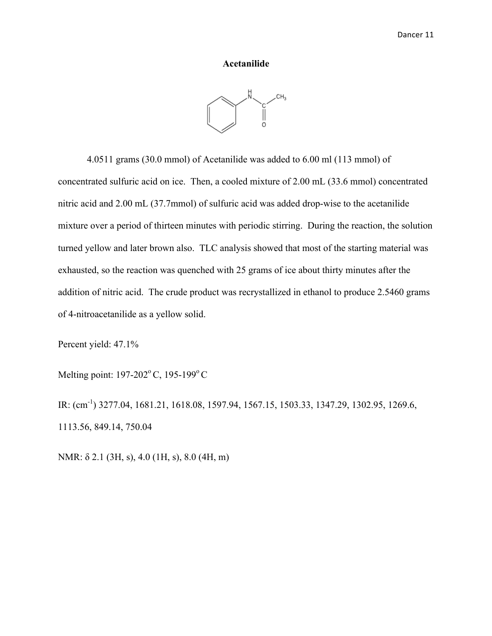#### **Acetanilide**



4.0511 grams (30.0 mmol) of Acetanilide was added to 6.00 ml (113 mmol) of concentrated sulfuric acid on ice. Then, a cooled mixture of 2.00 mL (33.6 mmol) concentrated nitric acid and 2.00 mL (37.7mmol) of sulfuric acid was added drop-wise to the acetanilide mixture over a period of thirteen minutes with periodic stirring. During the reaction, the solution turned yellow and later brown also. TLC analysis showed that most of the starting material was exhausted, so the reaction was quenched with 25 grams of ice about thirty minutes after the addition of nitric acid. The crude product was recrystallized in ethanol to produce 2.5460 grams of 4-nitroacetanilide as a yellow solid.

Percent yield: 47.1%

Melting point: 197-202°C, 195-199°C

IR: (cm-1 ) 3277.04, 1681.21, 1618.08, 1597.94, 1567.15, 1503.33, 1347.29, 1302.95, 1269.6, 1113.56, 849.14, 750.04

NMR: δ 2.1 (3H, s), 4.0 (1H, s), 8.0 (4H, m)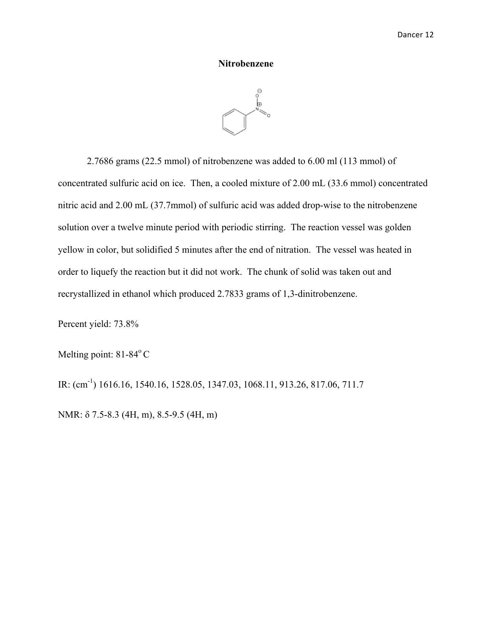### **Nitrobenzene**



2.7686 grams (22.5 mmol) of nitrobenzene was added to 6.00 ml (113 mmol) of concentrated sulfuric acid on ice. Then, a cooled mixture of 2.00 mL (33.6 mmol) concentrated nitric acid and 2.00 mL (37.7mmol) of sulfuric acid was added drop-wise to the nitrobenzene solution over a twelve minute period with periodic stirring. The reaction vessel was golden yellow in color, but solidified 5 minutes after the end of nitration. The vessel was heated in order to liquefy the reaction but it did not work. The chunk of solid was taken out and recrystallized in ethanol which produced 2.7833 grams of 1,3-dinitrobenzene.

Percent yield: 73.8%

Melting point: 81-84°C

IR: (cm<sup>-1</sup>) 1616.16, 1540.16, 1528.05, 1347.03, 1068.11, 913.26, 817.06, 711.7

NMR: δ 7.5-8.3 (4H, m), 8.5-9.5 (4H, m)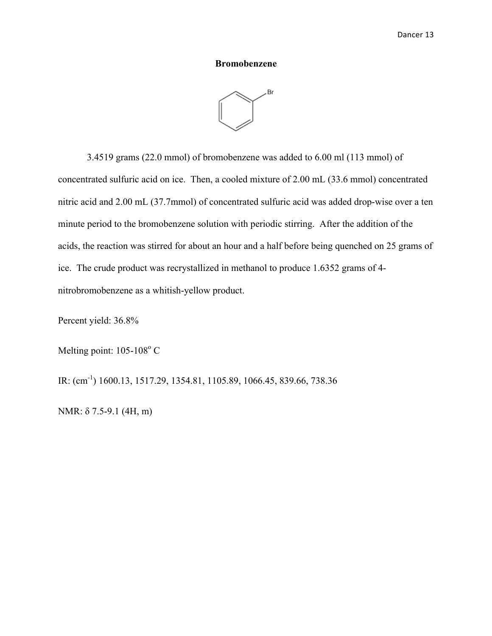#### **Bromobenzene**



3.4519 grams (22.0 mmol) of bromobenzene was added to 6.00 ml (113 mmol) of concentrated sulfuric acid on ice. Then, a cooled mixture of 2.00 mL (33.6 mmol) concentrated nitric acid and 2.00 mL (37.7mmol) of concentrated sulfuric acid was added drop-wise over a ten minute period to the bromobenzene solution with periodic stirring. After the addition of the acids, the reaction was stirred for about an hour and a half before being quenched on 25 grams of ice. The crude product was recrystallized in methanol to produce 1.6352 grams of 4 nitrobromobenzene as a whitish-yellow product.

Percent yield: 36.8%

Melting point: 105-108°C

IR: (cm<sup>-1</sup>) 1600.13, 1517.29, 1354.81, 1105.89, 1066.45, 839.66, 738.36

NMR: δ 7.5-9.1 (4H, m)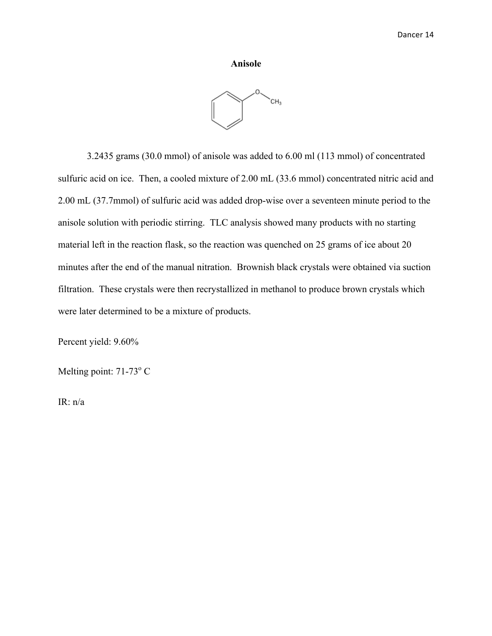#### **Anisole**



3.2435 grams (30.0 mmol) of anisole was added to 6.00 ml (113 mmol) of concentrated sulfuric acid on ice. Then, a cooled mixture of 2.00 mL (33.6 mmol) concentrated nitric acid and 2.00 mL (37.7mmol) of sulfuric acid was added drop-wise over a seventeen minute period to the anisole solution with periodic stirring. TLC analysis showed many products with no starting material left in the reaction flask, so the reaction was quenched on 25 grams of ice about 20 minutes after the end of the manual nitration. Brownish black crystals were obtained via suction filtration. These crystals were then recrystallized in methanol to produce brown crystals which were later determined to be a mixture of products.

Percent yield: 9.60%

Melting point:  $71-73^\circ$  C

IR: n/a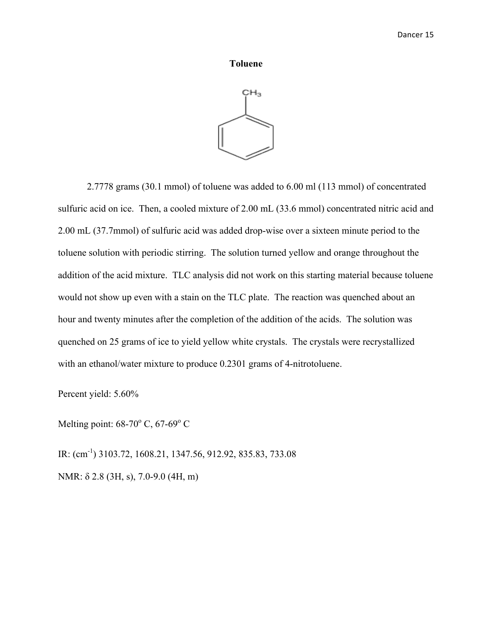#### **Toluene**



2.7778 grams (30.1 mmol) of toluene was added to 6.00 ml (113 mmol) of concentrated sulfuric acid on ice. Then, a cooled mixture of 2.00 mL (33.6 mmol) concentrated nitric acid and 2.00 mL (37.7mmol) of sulfuric acid was added drop-wise over a sixteen minute period to the toluene solution with periodic stirring. The solution turned yellow and orange throughout the addition of the acid mixture. TLC analysis did not work on this starting material because toluene would not show up even with a stain on the TLC plate. The reaction was quenched about an hour and twenty minutes after the completion of the addition of the acids. The solution was quenched on 25 grams of ice to yield yellow white crystals. The crystals were recrystallized with an ethanol/water mixture to produce 0.2301 grams of 4-nitrotoluene.

Percent yield: 5.60%

Melting point:  $68-70^{\circ}$  C,  $67-69^{\circ}$  C

IR: (cm<sup>-1</sup>) 3103.72, 1608.21, 1347.56, 912.92, 835.83, 733.08 NMR: δ 2.8 (3H, s), 7.0-9.0 (4H, m)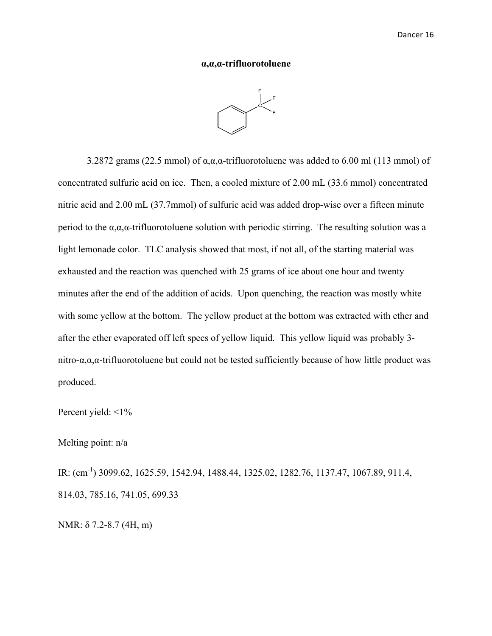#### **α,α,α-trifluorotoluene**

3.2872 grams (22.5 mmol) of  $\alpha, \alpha, \alpha$ -trifluorotoluene was added to 6.00 ml (113 mmol) of concentrated sulfuric acid on ice. Then, a cooled mixture of 2.00 mL (33.6 mmol) concentrated nitric acid and 2.00 mL (37.7mmol) of sulfuric acid was added drop-wise over a fifteen minute period to the  $\alpha, \alpha, \alpha$ -trifluorotoluene solution with periodic stirring. The resulting solution was a light lemonade color. TLC analysis showed that most, if not all, of the starting material was exhausted and the reaction was quenched with 25 grams of ice about one hour and twenty minutes after the end of the addition of acids. Upon quenching, the reaction was mostly white with some yellow at the bottom. The yellow product at the bottom was extracted with ether and after the ether evaporated off left specs of yellow liquid. This yellow liquid was probably 3 nitro-α,α,α-trifluorotoluene but could not be tested sufficiently because of how little product was produced.

Percent yield: <1%

Melting point: n/a

IR: (cm<sup>-1</sup>) 3099.62, 1625.59, 1542.94, 1488.44, 1325.02, 1282.76, 1137.47, 1067.89, 911.4, 814.03, 785.16, 741.05, 699.33

NMR: δ 7.2-8.7 (4H, m)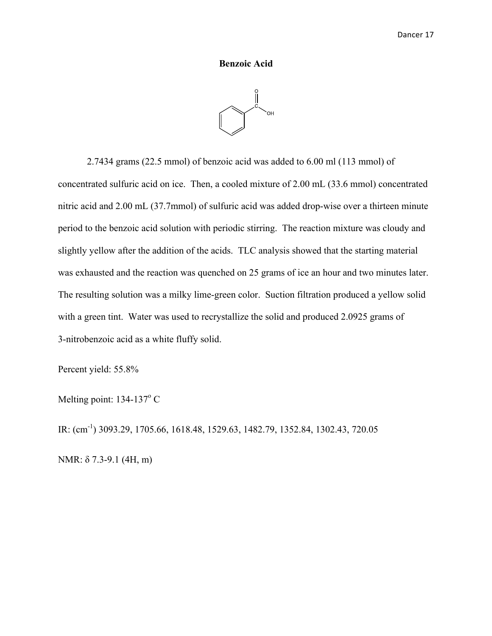#### **Benzoic Acid**



2.7434 grams (22.5 mmol) of benzoic acid was added to 6.00 ml (113 mmol) of concentrated sulfuric acid on ice. Then, a cooled mixture of 2.00 mL (33.6 mmol) concentrated nitric acid and 2.00 mL (37.7mmol) of sulfuric acid was added drop-wise over a thirteen minute period to the benzoic acid solution with periodic stirring. The reaction mixture was cloudy and slightly yellow after the addition of the acids. TLC analysis showed that the starting material was exhausted and the reaction was quenched on 25 grams of ice an hour and two minutes later. The resulting solution was a milky lime-green color. Suction filtration produced a yellow solid with a green tint. Water was used to recrystallize the solid and produced 2.0925 grams of 3-nitrobenzoic acid as a white fluffy solid.

Percent yield: 55.8%

Melting point:  $134-137$ °C

IR: (cm-1 ) 3093.29, 1705.66, 1618.48, 1529.63, 1482.79, 1352.84, 1302.43, 720.05 NMR: δ 7.3-9.1 (4H, m)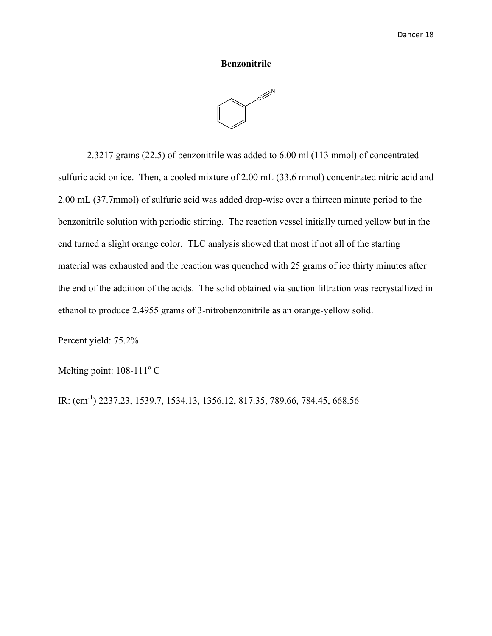#### **Benzonitrile**



2.3217 grams (22.5) of benzonitrile was added to 6.00 ml (113 mmol) of concentrated sulfuric acid on ice. Then, a cooled mixture of 2.00 mL (33.6 mmol) concentrated nitric acid and 2.00 mL (37.7mmol) of sulfuric acid was added drop-wise over a thirteen minute period to the benzonitrile solution with periodic stirring. The reaction vessel initially turned yellow but in the end turned a slight orange color. TLC analysis showed that most if not all of the starting material was exhausted and the reaction was quenched with 25 grams of ice thirty minutes after the end of the addition of the acids. The solid obtained via suction filtration was recrystallized in ethanol to produce 2.4955 grams of 3-nitrobenzonitrile as an orange-yellow solid.

Percent yield: 75.2%

Melting point:  $108-111^{\circ}$  C

IR: (cm-1 ) 2237.23, 1539.7, 1534.13, 1356.12, 817.35, 789.66, 784.45, 668.56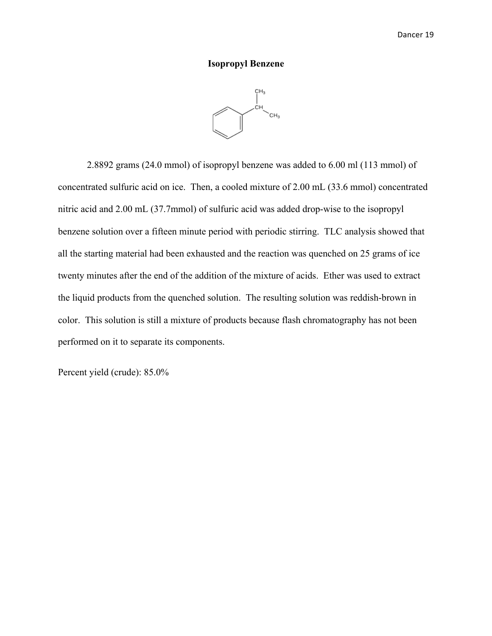#### **Isopropyl Benzene**



2.8892 grams (24.0 mmol) of isopropyl benzene was added to 6.00 ml (113 mmol) of concentrated sulfuric acid on ice. Then, a cooled mixture of 2.00 mL (33.6 mmol) concentrated nitric acid and 2.00 mL (37.7mmol) of sulfuric acid was added drop-wise to the isopropyl benzene solution over a fifteen minute period with periodic stirring. TLC analysis showed that all the starting material had been exhausted and the reaction was quenched on 25 grams of ice twenty minutes after the end of the addition of the mixture of acids. Ether was used to extract the liquid products from the quenched solution. The resulting solution was reddish-brown in color. This solution is still a mixture of products because flash chromatography has not been performed on it to separate its components.

Percent yield (crude): 85.0%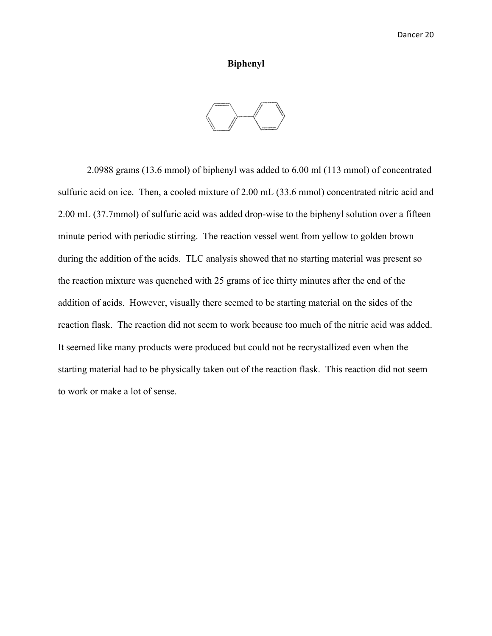#### **Biphenyl**



2.0988 grams (13.6 mmol) of biphenyl was added to 6.00 ml (113 mmol) of concentrated sulfuric acid on ice. Then, a cooled mixture of 2.00 mL (33.6 mmol) concentrated nitric acid and 2.00 mL (37.7mmol) of sulfuric acid was added drop-wise to the biphenyl solution over a fifteen minute period with periodic stirring. The reaction vessel went from yellow to golden brown during the addition of the acids. TLC analysis showed that no starting material was present so the reaction mixture was quenched with 25 grams of ice thirty minutes after the end of the addition of acids. However, visually there seemed to be starting material on the sides of the reaction flask. The reaction did not seem to work because too much of the nitric acid was added. It seemed like many products were produced but could not be recrystallized even when the starting material had to be physically taken out of the reaction flask. This reaction did not seem to work or make a lot of sense.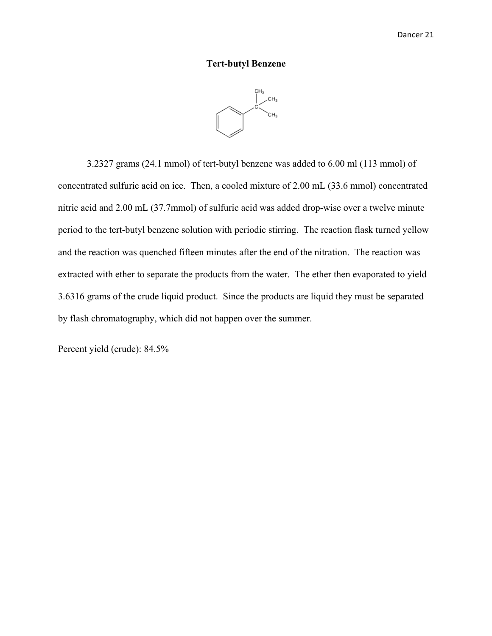# **Tert-butyl Benzene**



3.2327 grams (24.1 mmol) of tert-butyl benzene was added to 6.00 ml (113 mmol) of concentrated sulfuric acid on ice. Then, a cooled mixture of 2.00 mL (33.6 mmol) concentrated nitric acid and 2.00 mL (37.7mmol) of sulfuric acid was added drop-wise over a twelve minute period to the tert-butyl benzene solution with periodic stirring. The reaction flask turned yellow and the reaction was quenched fifteen minutes after the end of the nitration. The reaction was extracted with ether to separate the products from the water. The ether then evaporated to yield 3.6316 grams of the crude liquid product. Since the products are liquid they must be separated by flash chromatography, which did not happen over the summer.

Percent yield (crude): 84.5%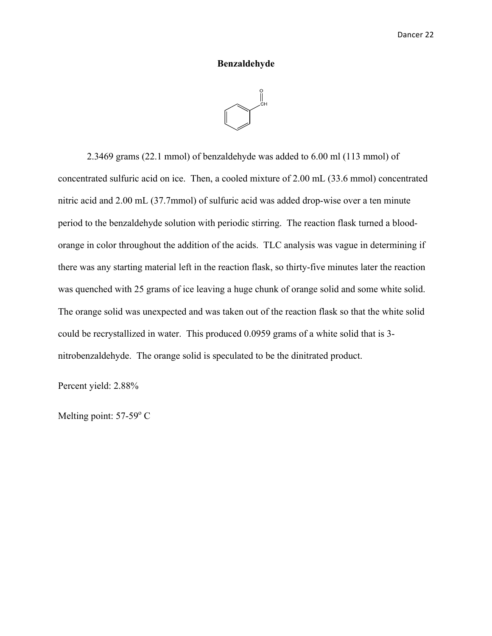# **Benzaldehyde**

2.3469 grams (22.1 mmol) of benzaldehyde was added to 6.00 ml (113 mmol) of concentrated sulfuric acid on ice. Then, a cooled mixture of 2.00 mL (33.6 mmol) concentrated nitric acid and 2.00 mL (37.7mmol) of sulfuric acid was added drop-wise over a ten minute period to the benzaldehyde solution with periodic stirring. The reaction flask turned a bloodorange in color throughout the addition of the acids. TLC analysis was vague in determining if there was any starting material left in the reaction flask, so thirty-five minutes later the reaction was quenched with 25 grams of ice leaving a huge chunk of orange solid and some white solid. The orange solid was unexpected and was taken out of the reaction flask so that the white solid could be recrystallized in water. This produced 0.0959 grams of a white solid that is 3 nitrobenzaldehyde. The orange solid is speculated to be the dinitrated product.

Percent yield: 2.88%

Melting point: 57-59<sup>°</sup> C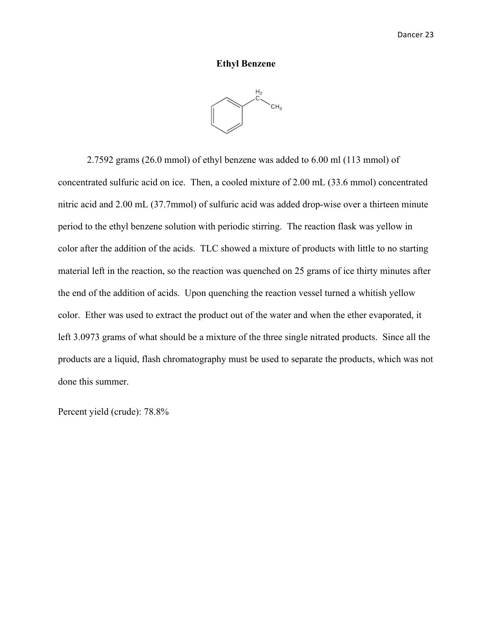#### **Ethyl Benzene**



2.7592 grams (26.0 mmol) of ethyl benzene was added to 6.00 ml (113 mmol) of concentrated sulfuric acid on ice. Then, a cooled mixture of 2.00 mL (33.6 mmol) concentrated nitric acid and 2.00 mL (37.7mmol) of sulfuric acid was added drop-wise over a thirteen minute period to the ethyl benzene solution with periodic stirring. The reaction flask was yellow in color after the addition of the acids. TLC showed a mixture of products with little to no starting material left in the reaction, so the reaction was quenched on 25 grams of ice thirty minutes after the end of the addition of acids. Upon quenching the reaction vessel turned a whitish yellow color. Ether was used to extract the product out of the water and when the ether evaporated, it left 3.0973 grams of what should be a mixture of the three single nitrated products. Since all the products are a liquid, flash chromatography must be used to separate the products, which was not done this summer.

Percent yield (crude): 78.8%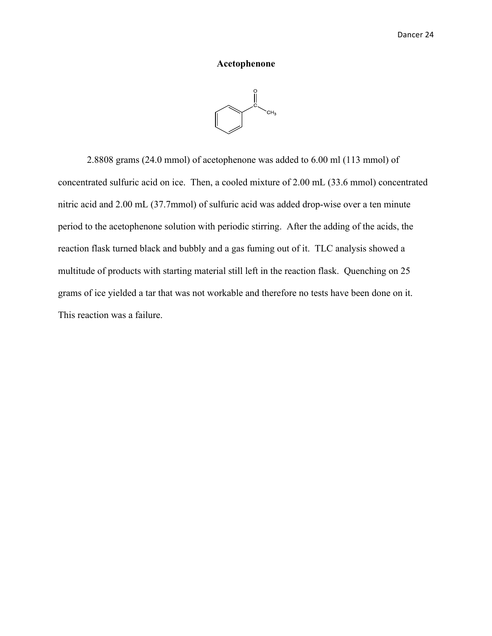#### **Acetophenone**



2.8808 grams (24.0 mmol) of acetophenone was added to 6.00 ml (113 mmol) of concentrated sulfuric acid on ice. Then, a cooled mixture of 2.00 mL (33.6 mmol) concentrated nitric acid and 2.00 mL (37.7mmol) of sulfuric acid was added drop-wise over a ten minute period to the acetophenone solution with periodic stirring. After the adding of the acids, the reaction flask turned black and bubbly and a gas fuming out of it. TLC analysis showed a multitude of products with starting material still left in the reaction flask. Quenching on 25 grams of ice yielded a tar that was not workable and therefore no tests have been done on it. This reaction was a failure.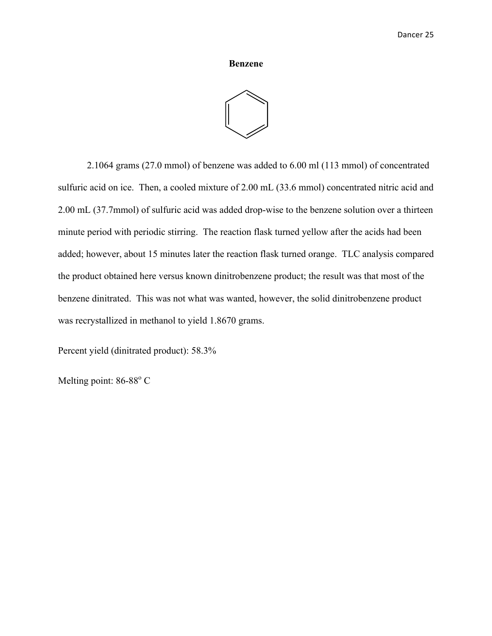## **Benzene**



2.1064 grams (27.0 mmol) of benzene was added to 6.00 ml (113 mmol) of concentrated sulfuric acid on ice. Then, a cooled mixture of 2.00 mL (33.6 mmol) concentrated nitric acid and 2.00 mL (37.7mmol) of sulfuric acid was added drop-wise to the benzene solution over a thirteen minute period with periodic stirring. The reaction flask turned yellow after the acids had been added; however, about 15 minutes later the reaction flask turned orange. TLC analysis compared the product obtained here versus known dinitrobenzene product; the result was that most of the benzene dinitrated. This was not what was wanted, however, the solid dinitrobenzene product was recrystallized in methanol to yield 1.8670 grams.

Percent yield (dinitrated product): 58.3%

Melting point: 86-88°C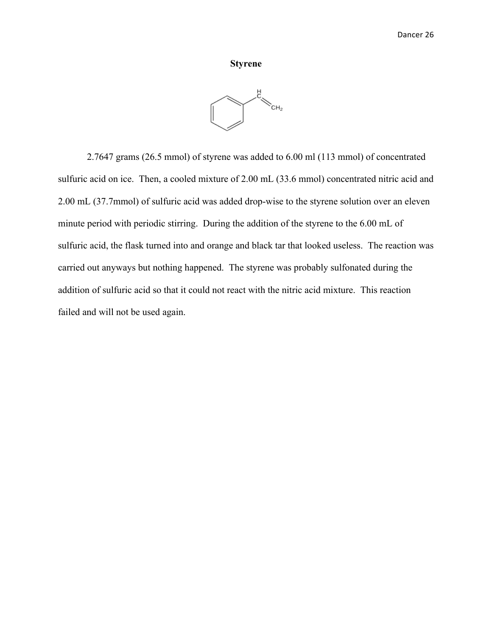#### **Styrene**



2.7647 grams (26.5 mmol) of styrene was added to 6.00 ml (113 mmol) of concentrated sulfuric acid on ice. Then, a cooled mixture of 2.00 mL (33.6 mmol) concentrated nitric acid and 2.00 mL (37.7mmol) of sulfuric acid was added drop-wise to the styrene solution over an eleven minute period with periodic stirring. During the addition of the styrene to the 6.00 mL of sulfuric acid, the flask turned into and orange and black tar that looked useless. The reaction was carried out anyways but nothing happened. The styrene was probably sulfonated during the addition of sulfuric acid so that it could not react with the nitric acid mixture. This reaction failed and will not be used again.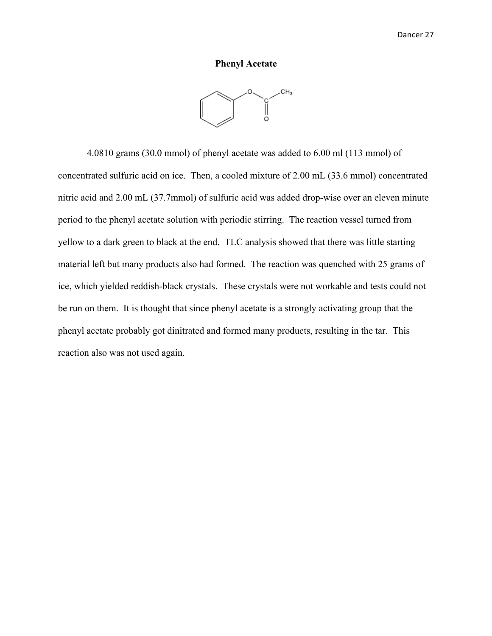#### **Phenyl Acetate**



4.0810 grams (30.0 mmol) of phenyl acetate was added to 6.00 ml (113 mmol) of concentrated sulfuric acid on ice. Then, a cooled mixture of 2.00 mL (33.6 mmol) concentrated nitric acid and 2.00 mL (37.7mmol) of sulfuric acid was added drop-wise over an eleven minute period to the phenyl acetate solution with periodic stirring. The reaction vessel turned from yellow to a dark green to black at the end. TLC analysis showed that there was little starting material left but many products also had formed. The reaction was quenched with 25 grams of ice, which yielded reddish-black crystals. These crystals were not workable and tests could not be run on them. It is thought that since phenyl acetate is a strongly activating group that the phenyl acetate probably got dinitrated and formed many products, resulting in the tar. This reaction also was not used again.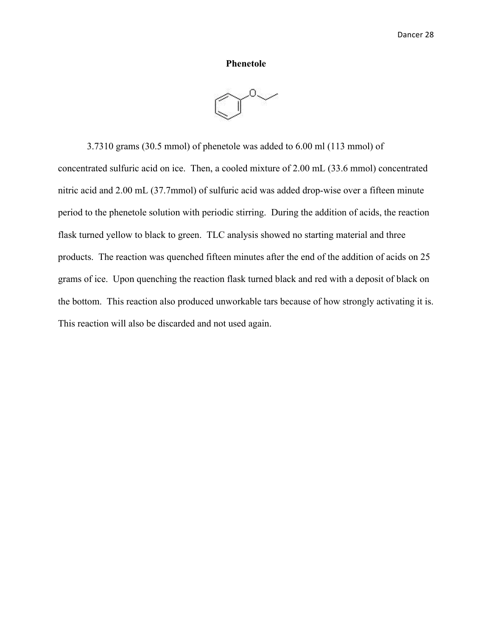#### **Phenetole**



3.7310 grams (30.5 mmol) of phenetole was added to 6.00 ml (113 mmol) of concentrated sulfuric acid on ice. Then, a cooled mixture of 2.00 mL (33.6 mmol) concentrated nitric acid and 2.00 mL (37.7mmol) of sulfuric acid was added drop-wise over a fifteen minute period to the phenetole solution with periodic stirring. During the addition of acids, the reaction flask turned yellow to black to green. TLC analysis showed no starting material and three products. The reaction was quenched fifteen minutes after the end of the addition of acids on 25 grams of ice. Upon quenching the reaction flask turned black and red with a deposit of black on the bottom. This reaction also produced unworkable tars because of how strongly activating it is. This reaction will also be discarded and not used again.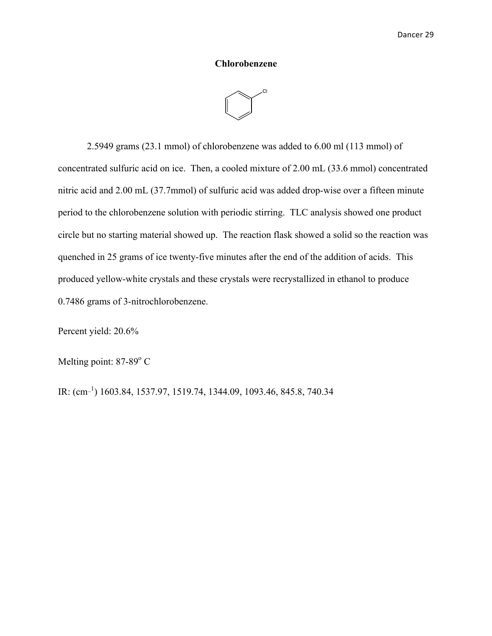#### **Chlorobenzene**



2.5949 grams (23.1 mmol) of chlorobenzene was added to 6.00 ml (113 mmol) of concentrated sulfuric acid on ice. Then, a cooled mixture of 2.00 mL (33.6 mmol) concentrated nitric acid and 2.00 mL (37.7mmol) of sulfuric acid was added drop-wise over a fifteen minute period to the chlorobenzene solution with periodic stirring. TLC analysis showed one product circle but no starting material showed up. The reaction flask showed a solid so the reaction was quenched in 25 grams of ice twenty-five minutes after the end of the addition of acids. This produced yellow-white crystals and these crystals were recrystallized in ethanol to produce 0.7486 grams of 3-nitrochlorobenzene.

Percent yield: 20.6%

Melting point: 87-89<sup>°</sup> C

IR:  $\text{(cm}^{-1})$  1603.84, 1537.97, 1519.74, 1344.09, 1093.46, 845.8, 740.34